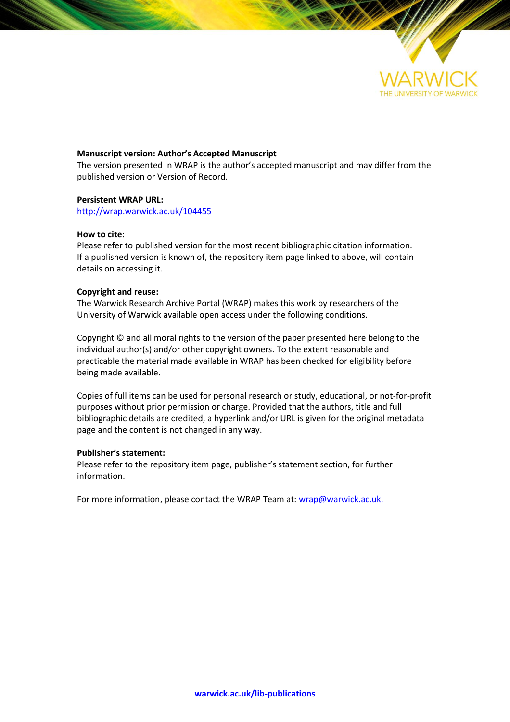

## **Manuscript version: Author's Accepted Manuscript**

The version presented in WRAP is the author's accepted manuscript and may differ from the published version or Version of Record.

## **Persistent WRAP URL:**

<http://wrap.warwick.ac.uk/104455>

## **How to cite:**

Please refer to published version for the most recent bibliographic citation information. If a published version is known of, the repository item page linked to above, will contain details on accessing it.

## **Copyright and reuse:**

The Warwick Research Archive Portal (WRAP) makes this work by researchers of the University of Warwick available open access under the following conditions.

Copyright © and all moral rights to the version of the paper presented here belong to the individual author(s) and/or other copyright owners. To the extent reasonable and practicable the material made available in WRAP has been checked for eligibility before being made available.

Copies of full items can be used for personal research or study, educational, or not-for-profit purposes without prior permission or charge. Provided that the authors, title and full bibliographic details are credited, a hyperlink and/or URL is given for the original metadata page and the content is not changed in any way.

## **Publisher's statement:**

Please refer to the repository item page, publisher's statement section, for further information.

For more information, please contact the WRAP Team at[: wrap@warwick.ac.uk.](mailto:wrap@warwick.ac.uk)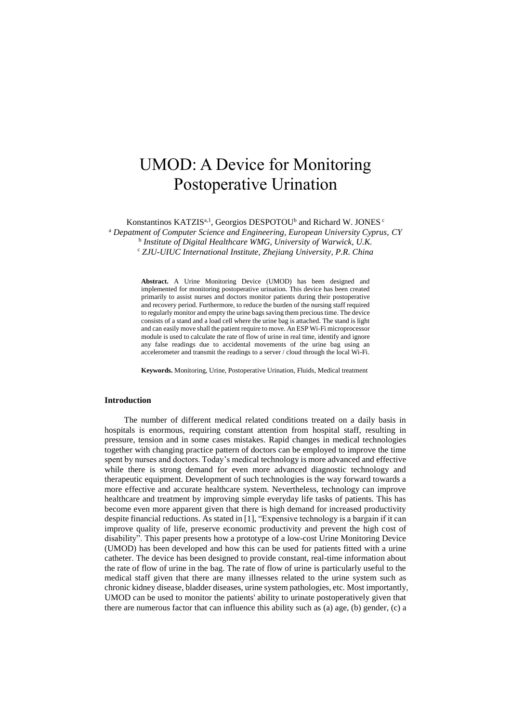# UMOD: A Device for Monitoring Postoperative Urination

Konstantinos KATZIS<sup>a, 1</sup>, Georgios DESPOTOU<sup>b</sup> and Richard W. JONES<sup>c</sup>

<sup>a</sup> *Depatment of Computer Science and Engineering, European University Cyprus, CY*

b *Institute of Digital Healthcare WMG, University of Warwick, U.K.*

<sup>c</sup> *ZJU-UIUC International Institute, Zhejiang University, P.R. China*

**Abstract.** A Urine Monitoring Device (UMOD) has been designed and implemented for monitoring postoperative urination. This device has been created primarily to assist nurses and doctors monitor patients during their postoperative and recovery period. Furthermore, to reduce the burden of the nursing staff required to regularly monitor and empty the urine bags saving them precious time. The device consists of a stand and a load cell where the urine bag is attached. The stand is light and can easily move shall the patient require to move. An ESP Wi-Fi microprocessor module is used to calculate the rate of flow of urine in real time, identify and ignore any false readings due to accidental movements of the urine bag using an accelerometer and transmit the readings to a server / cloud through the local Wi-Fi.

**Keywords.** Monitoring, Urine, Postoperative Urination, Fluids, Medical treatment

### **Introduction**

The number of different medical related conditions treated on a daily basis in hospitals is enormous, requiring constant attention from hospital staff, resulting in pressure, tension and in some cases mistakes. Rapid changes in medical technologies together with changing practice pattern of doctors can be employed to improve the time spent by nurses and doctors. Today's medical technology is more advanced and effective while there is strong demand for even more advanced diagnostic technology and therapeutic equipment. Development of such technologies is the way forward towards a more effective and accurate healthcare system. Nevertheless, technology can improve healthcare and treatment by improving simple everyday life tasks of patients. This has become even more apparent given that there is high demand for increased productivity despite financial reductions. As stated i[n \[1\],](#page-4-0) "Expensive technology is a bargain if it can improve quality of life, preserve economic productivity and prevent the high cost of disability". This paper presents how a prototype of a low-cost Urine Monitoring Device (UMOD) has been developed and how this can be used for patients fitted with a urine catheter. The device has been designed to provide constant, real-time information about the rate of flow of urine in the bag. The rate of flow of urine is particularly useful to the medical staff given that there are many illnesses related to the urine system such as chronic kidney disease, bladder diseases, urine system pathologies, etc. Most importantly, UMOD can be used to monitor the patients' ability to urinate postoperatively given that there are numerous factor that can influence this ability such as (a) age, (b) gender, (c) a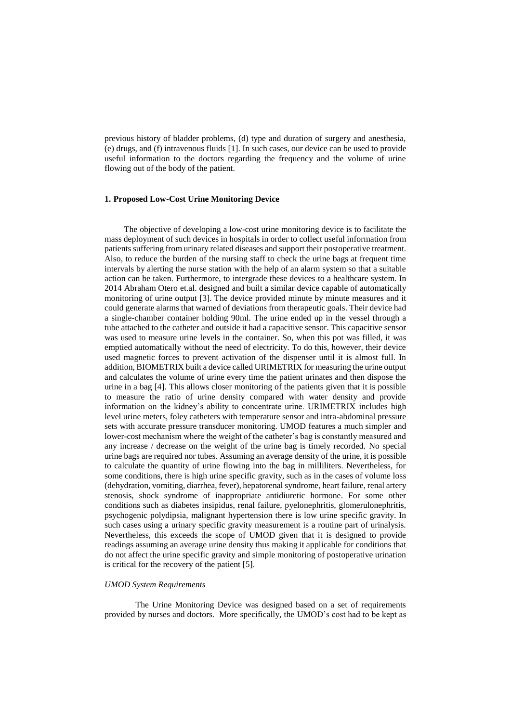previous history of bladder problems, (d) type and duration of surgery and anesthesia, (e) drugs, and (f) intravenous fluids [\[1\].](#page-4-0) In such cases, our device can be used to provide useful information to the doctors regarding the frequency and the volume of urine flowing out of the body of the patient.

#### **1. Proposed Low-Cost Urine Monitoring Device**

The objective of developing a low-cost urine monitoring device is to facilitate the mass deployment of such devices in hospitals in order to collect useful information from patients suffering from urinary related diseases and support their postoperative treatment. Also, to reduce the burden of the nursing staff to check the urine bags at frequent time intervals by alerting the nurse station with the help of an alarm system so that a suitable action can be taken. Furthermore, to intergrade these devices to a healthcare system. In 2014 Abraham Otero et.al. designed and built a similar device capable of automatically monitoring of urine output [\[3\].](#page-4-1) The device provided minute by minute measures and it could generate alarms that warned of deviations from therapeutic goals. Their device had a single-chamber container holding 90ml. The urine ended up in the vessel through a tube attached to the catheter and outside it had a capacitive sensor. This capacitive sensor was used to measure urine levels in the container. So, when this pot was filled, it was emptied automatically without the need of electricity. To do this, however, their device used magnetic forces to prevent activation of the dispenser until it is almost full. In addition, BIOMETRIX built a device called URIMETRIX for measuring the urine output and calculates the volume of urine every time the patient urinates and then dispose the urine in a bag [\[4\].](#page-4-2) This allows closer monitoring of the patients given that it is possible to measure the ratio of urine density compared with water density and provide information on the kidney's ability to concentrate urine. URIMETRIX includes high level urine meters, foley catheters with temperature sensor and intra-abdominal pressure sets with accurate pressure transducer monitoring. UMOD features a much simpler and lower-cost mechanism where the weight of the catheter's bag is constantly measured and any increase / decrease on the weight of the urine bag is timely recorded. No special urine bags are required nor tubes. Assuming an average density of the urine, it is possible to calculate the quantity of urine flowing into the bag in milliliters. Nevertheless, for some conditions, there is high urine specific gravity, such as in the cases of volume loss (dehydration, vomiting, diarrhea, fever), hepatorenal syndrome, heart failure, renal artery stenosis, shock syndrome of inappropriate antidiuretic hormone. For some other conditions such as diabetes insipidus, renal failure, pyelonephritis, glomerulonephritis, psychogenic polydipsia, malignant hypertension there is low urine specific gravity. In such cases using a urinary specific gravity measurement is a routine part of urinalysis. Nevertheless, this exceeds the scope of UMOD given that it is designed to provide readings assuming an average urine density thus making it applicable for conditions that do not affect the urine specific gravity and simple monitoring of postoperative urination is critical for the recovery of the patient [\[5\].](#page-4-3)

#### *UMOD System Requirements*

The Urine Monitoring Device was designed based on a set of requirements provided by nurses and doctors. More specifically, the UMOD's cost had to be kept as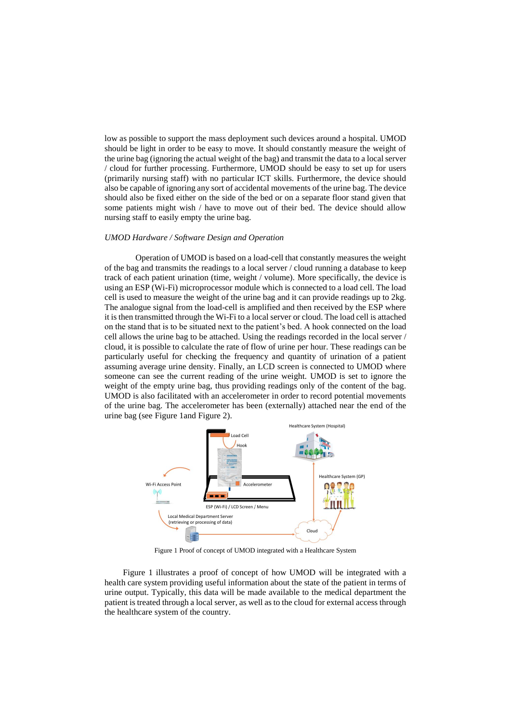low as possible to support the mass deployment such devices around a hospital. UMOD should be light in order to be easy to move. It should constantly measure the weight of the urine bag (ignoring the actual weight of the bag) and transmit the data to a local server / cloud for further processing. Furthermore, UMOD should be easy to set up for users (primarily nursing staff) with no particular ICT skills. Furthermore, the device should also be capable of ignoring any sort of accidental movements of the urine bag. The device should also be fixed either on the side of the bed or on a separate floor stand given that some patients might wish / have to move out of their bed. The device should allow nursing staff to easily empty the urine bag.

#### *UMOD Hardware / Software Design and Operation*

Operation of UMOD is based on a load-cell that constantly measures the weight of the bag and transmits the readings to a local server / cloud running a database to keep track of each patient urination (time, weight / volume). More specifically, the device is using an ESP (Wi-Fi) microprocessor module which is connected to a load cell. The load cell is used to measure the weight of the urine bag and it can provide readings up to 2kg. The analogue signal from the load-cell is amplified and then received by the ESP where it is then transmitted through the Wi-Fi to a local server or cloud. The load cell is attached on the stand that is to be situated next to the patient's bed. A hook connected on the load cell allows the urine bag to be attached. Using the readings recorded in the local server / cloud, it is possible to calculate the rate of flow of urine per hour. These readings can be particularly useful for checking the frequency and quantity of urination of a patient assuming average urine density. Finally, an LCD screen is connected to UMOD where someone can see the current reading of the urine weight. UMOD is set to ignore the weight of the empty urine bag, thus providing readings only of the content of the bag. UMOD is also facilitated with an accelerometer in order to record potential movements of the urine bag. The accelerometer has been (externally) attached near the end of the urine bag (see [Figure 1a](#page-3-0)nd [Figure 2\)](#page-4-4).



Figure 1 Proof of concept of UMOD integrated with a Healthcare System

<span id="page-3-0"></span>[Figure 1](#page-3-0) illustrates a proof of concept of how UMOD will be integrated with a health care system providing useful information about the state of the patient in terms of urine output. Typically, this data will be made available to the medical department the patient is treated through a local server, as well as to the cloud for external access through the healthcare system of the country.